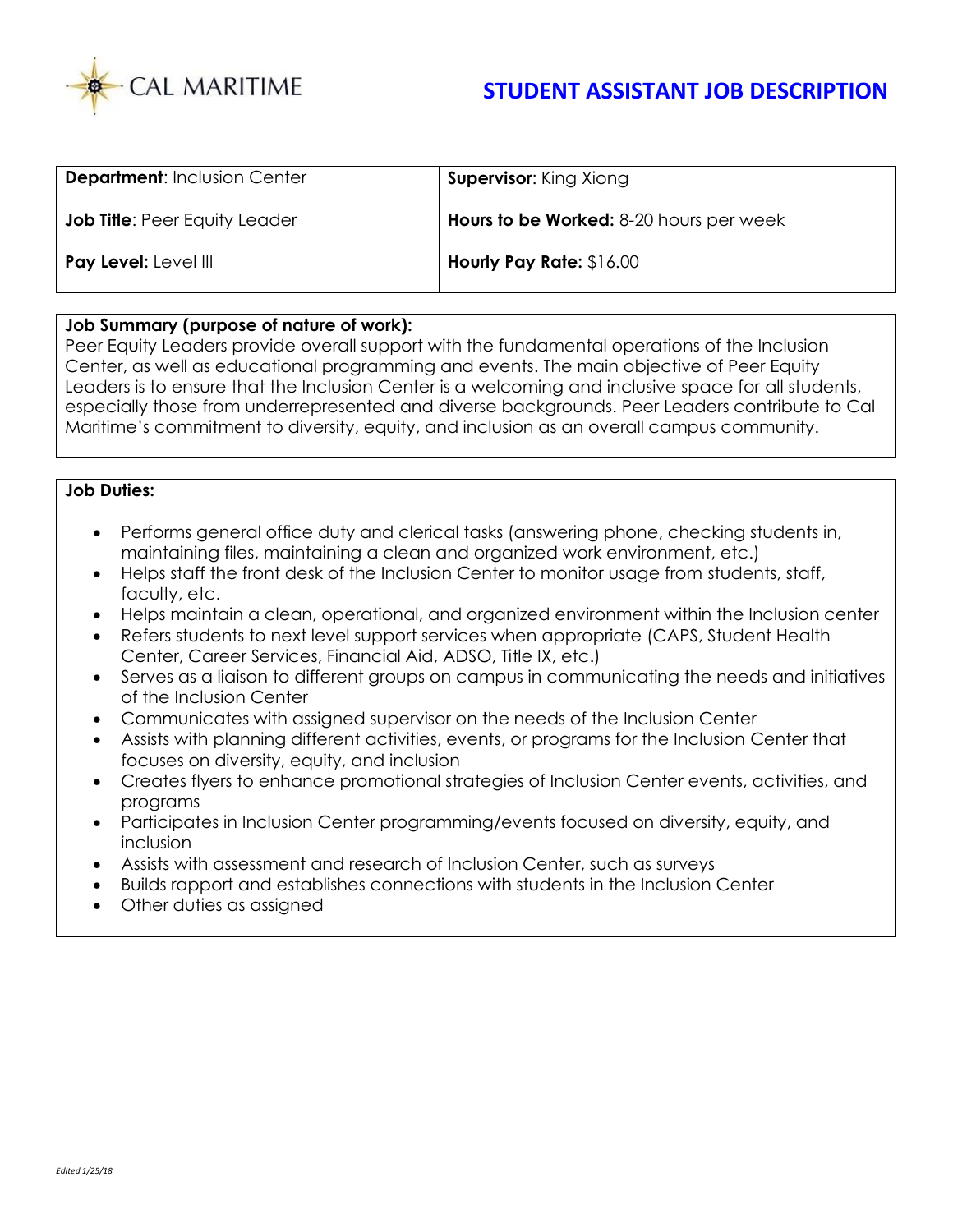

| <b>Department: Inclusion Center</b>  | <b>Supervisor:</b> King Xiong                  |
|--------------------------------------|------------------------------------------------|
| <b>Job Title: Peer Equity Leader</b> | <b>Hours to be Worked:</b> 8-20 hours per week |
| Pay Level: Level III                 | <b>Hourly Pay Rate: \$16.00</b>                |

## **Job Summary (purpose of nature of work):**

Peer Equity Leaders provide overall support with the fundamental operations of the Inclusion Center, as well as educational programming and events. The main objective of Peer Equity Leaders is to ensure that the Inclusion Center is a welcoming and inclusive space for all students, especially those from underrepresented and diverse backgrounds. Peer Leaders contribute to Cal Maritime's commitment to diversity, equity, and inclusion as an overall campus community.

## **Job Duties:**

- Performs general office duty and clerical tasks (answering phone, checking students in, maintaining files, maintaining a clean and organized work environment, etc.)
- Helps staff the front desk of the Inclusion Center to monitor usage from students, staff, faculty, etc.
- Helps maintain a clean, operational, and organized environment within the Inclusion center
- Refers students to next level support services when appropriate (CAPS, Student Health Center, Career Services, Financial Aid, ADSO, Title IX, etc.)
- Serves as a liaison to different groups on campus in communicating the needs and initiatives of the Inclusion Center
- Communicates with assigned supervisor on the needs of the Inclusion Center
- Assists with planning different activities, events, or programs for the Inclusion Center that focuses on diversity, equity, and inclusion
- Creates flyers to enhance promotional strategies of Inclusion Center events, activities, and programs
- Participates in Inclusion Center programming/events focused on diversity, equity, and inclusion
- Assists with assessment and research of Inclusion Center, such as surveys
- Builds rapport and establishes connections with students in the Inclusion Center
- Other duties as assigned